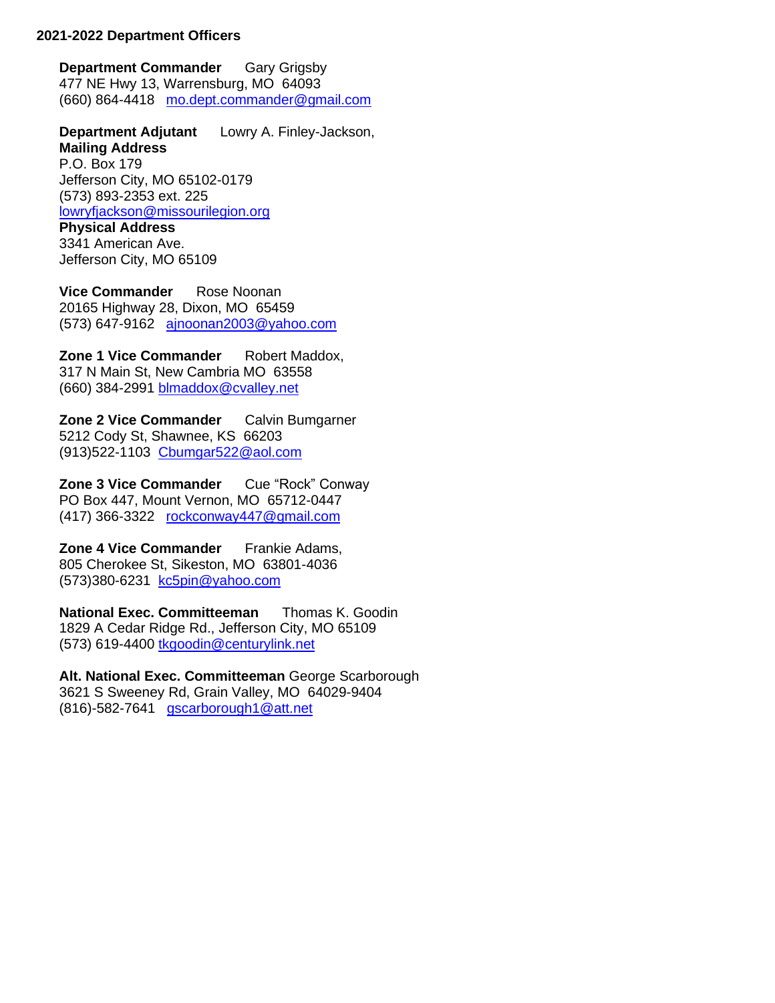## **2021-2022 Department Officers**

**Department Commander** Gary Grigsby 477 NE Hwy 13, Warrensburg, MO 64093 (660) 864-4418 [mo.dept.commander@gmail.com](mailto:mo.dept.commander@gmail.com)

**Department Adjutant** Lowry A. Finley-Jackson, **Mailing Address** P.O. Box 179 Jefferson City, MO 65102-0179 (573) 893-2353 ext. 225 [lowryfjackson@missourilegion.org](mailto:lowryfjackson@missourilegion.org) **Physical Address** 3341 American Ave.

Jefferson City, MO 65109

**Vice Commander** Rose Noonan 20165 Highway 28, Dixon, MO 65459 (573) 647-9162 [ajnoonan2003@yahoo.com](mailto:ajnoonan2003@yahoo.com)

**Zone 1 Vice Commander** Robert Maddox, 317 N Main St, New Cambria MO 63558 (660) 384-2991 [blmaddox@cvalley.net](mailto:blmaddox@cvalley.net)

**Zone 2 Vice Commander** Calvin Bumgarner 5212 Cody St, Shawnee, KS 66203 (913)522-1103 [Cbumgar522@aol.com](mailto:Cbumgar522@aol.com)

**Zone 3 Vice Commander** Cue "Rock" Conway PO Box 447, Mount Vernon, MO 65712-0447 (417) 366-3322 [rockconway447@gmail.com](mailto:rockconway447@gmail.com)

**Zone 4 Vice Commander** Frankie Adams, 805 Cherokee St, Sikeston, MO 63801-4036 (573)380-6231 [kc5pin@yahoo.com](mailto:kc5pin@yahoo.com)

**National Exec. Committeeman** Thomas K. Goodin 1829 A Cedar Ridge Rd., Jefferson City, MO 65109 (573) 619-4400 [tkgoodin@centurylink.net](mailto:tkgoodin@centurylink.net)

**Alt. National Exec. Committeeman** George Scarborough 3621 S Sweeney Rd, Grain Valley, MO 64029-9404 (816)-582-7641 [gscarborough1@att.net](mailto:gscarborough1@att.net)